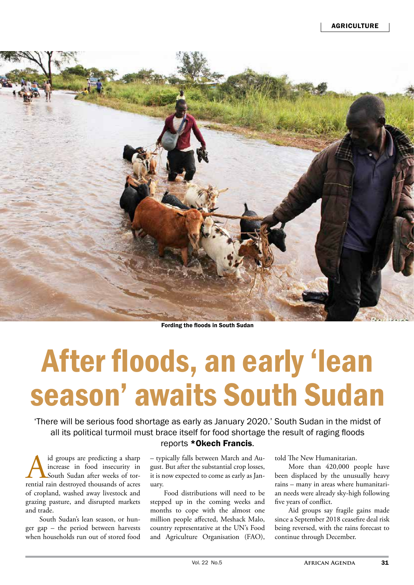

Fording the floods in South Sudan

## After floods, an early 'lean season' awaits South Sudan

'There will be serious food shortage as early as January 2020.' South Sudan in the midst of all its political turmoil must brace itself for food shortage the result of raging floods

A id groups are predicting a sharp increase in food insecurity in South Sudan after weeks of torrential rain destroyed thousands of acres increase in food insecurity in South Sudan after weeks of torof cropland, washed away livestock and grazing pasture, and disrupted markets and trade.

South Sudan's lean season, or hunger gap – the period between harvests when households run out of stored food

## reports \*Okech Francis.

– typically falls between March and August. But after the substantial crop losses, it is now expected to come as early as January.

Food distributions will need to be stepped up in the coming weeks and months to cope with the almost one million people affected, Meshack Malo, country representative at the UN's Food and Agriculture Organisation (FAO),

told The New Humanitarian.

More than 420,000 people have been displaced by the unusually heavy rains – many in areas where humanitarian needs were already sky-high following five years of conflict.

Aid groups say fragile gains made since a September 2018 ceasefire deal risk being reversed, with the rains forecast to continue through December.